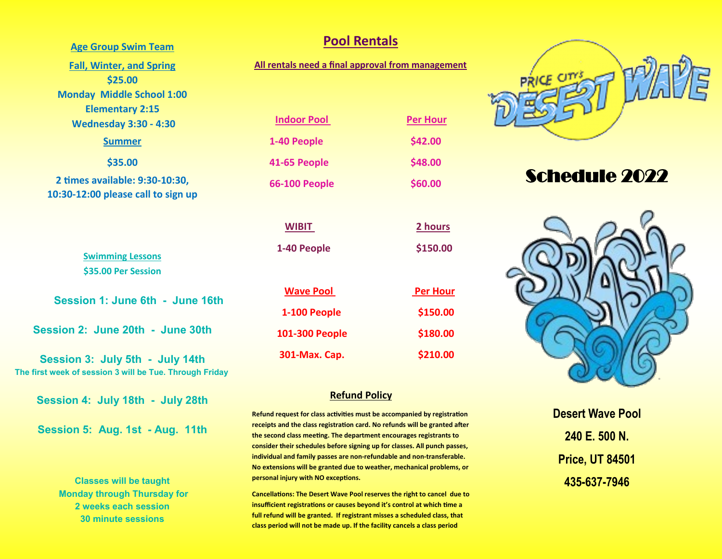#### **Age Group Swim Team**

**Fall, Winter, and Spring \$25.00 Monday Middle School 1:00 Elementary 2:15 Wednesday 3:30 - 4:30 Summer** 

**\$35.00**

**2 times available: 9:30-10:30, 10:30-12:00 please call to sign up**

> **Swimming Lessons \$35.00 Per Session**

**Session 1: June 6th - June 16th**

**Session 2: June 20th - June 30th**

**Session 3: July 5th - July 14th The first week of session 3 will be Tue. Through Friday**

**Session 4: July 18th - July 28th**

**Session 5: Aug. 1st - Aug. 11th** 

**Classes will be taught Monday through Thursday for 2 weeks each session 30 minute sessions**

#### **Pool Rentals**

**All rentals need a final approval from management** 

**Indoor Pool Per Hour** 

 **1-40 People \$42.00 41-65 People \$48.00**

 **66-100 People \$60.00**

**WIBIT 2 hours**

 **1-40 People \$150.00**

| <b>Wave Pool</b> | <b>Per Hour</b> |
|------------------|-----------------|
| 1-100 People     | \$150.00        |
| 101-300 People   | \$180.00        |
| 301-Max. Cap.    | \$210.00        |

#### **Refund Policy**

**Refund request for class activities must be accompanied by registration receipts and the class registration card. No refunds will be granted after the second class meeting. The department encourages registrants to consider their schedules before signing up for classes. All punch passes, individual and family passes are non-refundable and non-transferable. No extensions will be granted due to weather, mechanical problems, or personal injury with NO exceptions.** 

**Cancellations: The Desert Wave Pool reserves the right to cancel due to insufficient registrations or causes beyond it's control at which time a full refund will be granted. If registrant misses a scheduled class, that class period will not be made up. If the facility cancels a class period** 



# Schedule 2022



**Desert Wave Pool 240 E. 500 N. Price, UT 84501 435-637-7946**